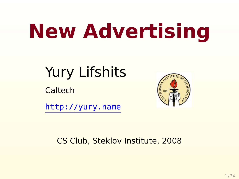# **New Advertising**

# Yury Lifshits

**Caltech** 



<http://yury.name>

#### CS Club, Steklov Institute, 2008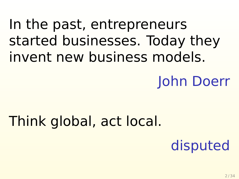# In the past, entrepreneurs started businesses. Today they invent new business models.

# John Doerr

## Think global, act local.

# disputed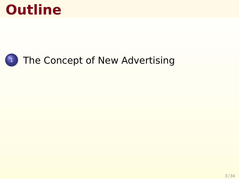## **Outline**

#### <sup>1</sup> [The Concept of New Advertising](#page-5-0)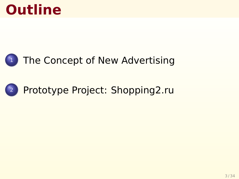# **Outline**

#### <sup>1</sup> [The Concept of New Advertising](#page-5-0)

#### <sup>2</sup> [Prototype Project: Shopping2.ru](#page-16-0)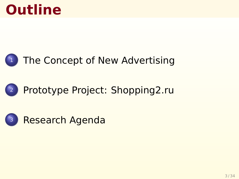# **Outline**

#### $\left(1\right)$  [The Concept of New Advertising](#page-5-0)

#### <sup>2</sup> [Prototype Project: Shopping2.ru](#page-16-0)

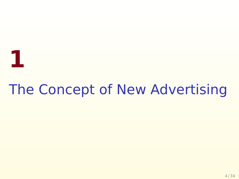# <span id="page-5-0"></span>The Concept of New Advertising

**1**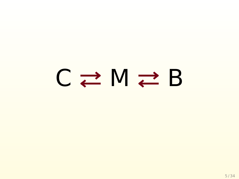# $C \rightleftarrows M \rightleftarrows B$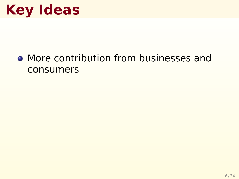#### • More contribution from businesses and consumers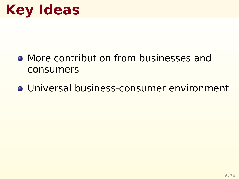- More contribution from businesses and consumers
- Universal business-consumer environment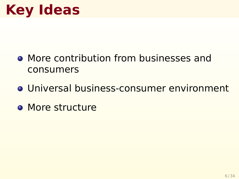- More contribution from businesses and consumers
- Universal business-consumer environment
- **O** More structure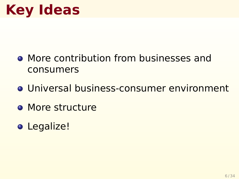- More contribution from businesses and consumers
- Universal business-consumer environment
- **O** More structure
- Legalize!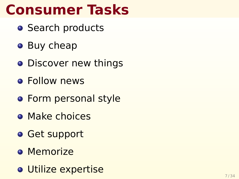# **Consumer Tasks**

- **•** Search products
- Buy cheap
- **•** Discover new things
- **•** Follow news
- **•** Form personal style
- **O** Make choices
- **o** Get support
- **o** Memorize
- Utilize expertise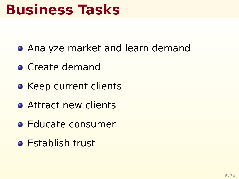### **Business Tasks**

- **Analyze market and learn demand**
- **Create demand**
- **Keep current clients**
- **Attract new clients**
- **e** Educate consumer
- **Establish trust**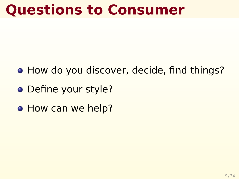## **Questions to Consumer**

- How do you discover, decide, find things?
- Define your style?
- **How can we help?**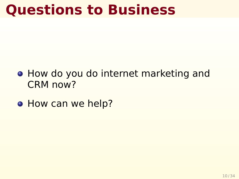## **Questions to Business**

- How do you do internet marketing and CRM now?
- **How can we help?**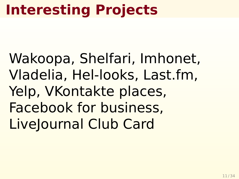# **Interesting Projects**

Wakoopa, Shelfari, Imhonet, Vladelia, Hel-looks, Last.fm, Yelp, VKontakte places, Facebook for business, LiveJournal Club Card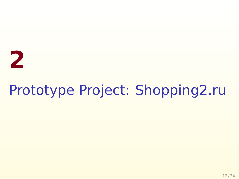# **2**

# <span id="page-16-0"></span>Prototype Project: Shopping2.ru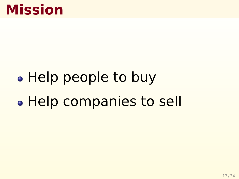### **Mission**

# • Help people to buy • Help companies to sell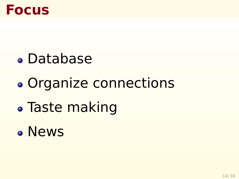

- Database
- Organize connections
- Taste making
- News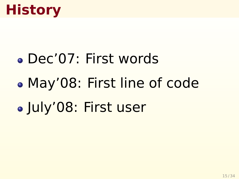# **History**

- Dec'07: First words
- May'08: First line of code
- July'08: First user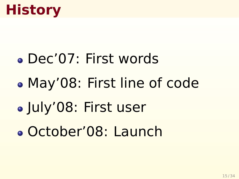# **History**

- Dec'07: First words
- May'08: First line of code
- July'08: First user
- October'08: Launch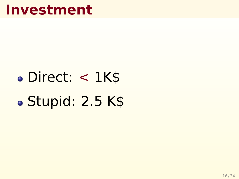#### **Investment**

# Direct: < 1K\$ · Stupid: 2.5 K\$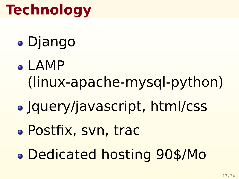# **Technology**

- Django
- LAMP (linux-apache-mysql-python)
- Jquery/javascript, html/css
- Postfix, svn, trac
- Dedicated hosting 90\$/Mo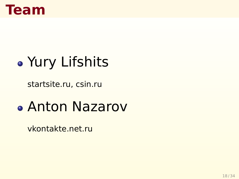

# Yury Lifshits

startsite.ru, csin.ru

### Anton Nazarov

vkontakte.net.ru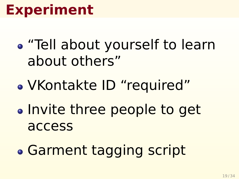- "Tell about yourself to learn about others"
- VKontakte ID "required"
- Invite three people to get access
- Garment tagging script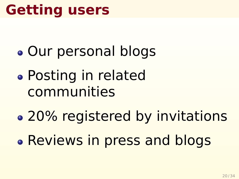# **Getting users**

- Our personal blogs
- Posting in related communities
- 20% registered by invitations
- Reviews in press and blogs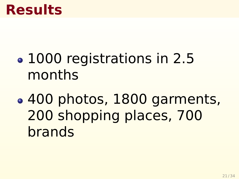#### **Results**

- 1000 registrations in 2.5 months
- 400 photos, 1800 garments, 200 shopping places, 700 brands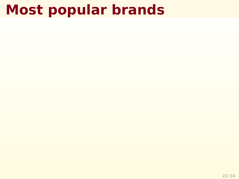# **Most popular brands**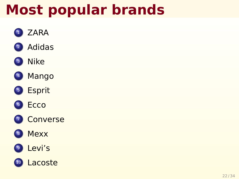# **Most popular brands**

- <sup>1</sup> ZARA
- <sup>2</sup> Adidas

#### <sup>3</sup> Nike

- <sup>4</sup> Mango
- <sup>5</sup> Esprit
- <sup>6</sup> Ecco
- **Converse**
- **Mexx**

#### <sup>9</sup> Levi's

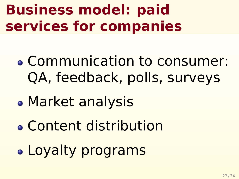# **Business model: paid services for companies**

- Communication to consumer: QA, feedback, polls, surveys
- Market analysis
- Content distribution
- Loyalty programs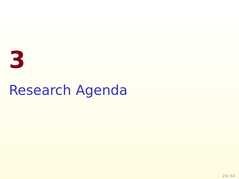# <span id="page-30-0"></span>**3** Research Agenda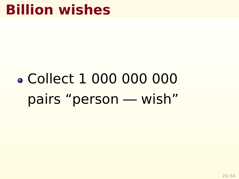# **Billion wishes**

# Collect 1 000 000 000 pairs "person — wish"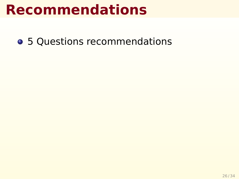• 5 Questions recommendations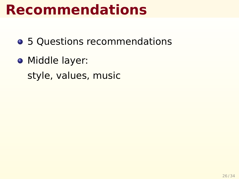- 5 Questions recommendations
- **Middle layer:** style, values, music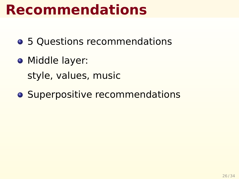- 5 Questions recommendations
- **Middle layer:** style, values, music
- **Superpositive recommendations**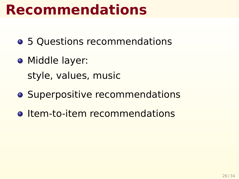- 5 Questions recommendations
- **•** Middle layer: style, values, music
- **Superpositive recommendations**
- **o** Item-to-item recommendations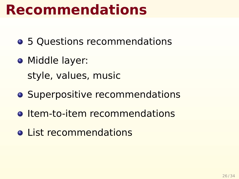- 5 Questions recommendations
- **•** Middle layer: style, values, music
- **Superpositive recommendations**
- **o** Item-to-item recommendations
- o List recommendations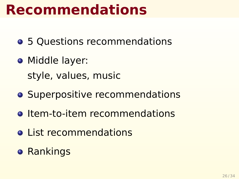- 5 Questions recommendations
- **•** Middle layer: style, values, music
- **Superpositive recommendations**
- **o** Item-to-item recommendations
- o List recommendations
- **Rankings**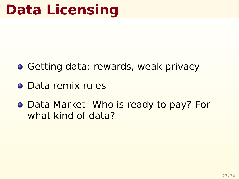# **Data Licensing**

- **Getting data: rewards, weak privacy**
- Data remix rules
- Data Market: Who is ready to pay? For what kind of data?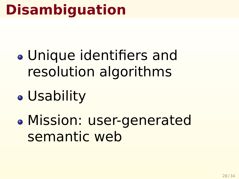# **Disambiguation**

- Unique identifiers and resolution algorithms
- Usability
- Mission: user-generated semantic web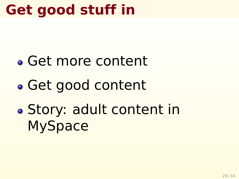# **Get good stuff in**

- Get more content
- Get good content
- Story: adult content in **MySpace**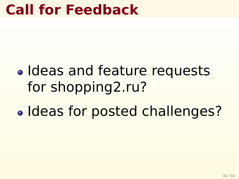### **Call for Feedback**

# • Ideas and feature requests for shopping2.ru?

• Ideas for posted challenges?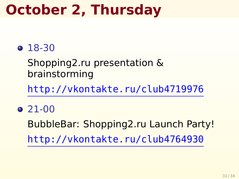# **October 2, Thursday**

#### 18-30

Shopping2.ru presentation & brainstorming

<http://vkontakte.ru/club4719976>

 $\bullet$  21-00

BubbleBar: Shopping2.ru Launch Party! <http://vkontakte.ru/club4764930>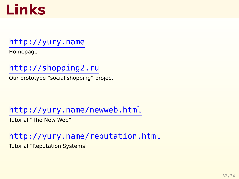## **Links**

#### <http://yury.name>

Homepage

<http://shopping2.ru>

Our prototype "social shopping" project

<http://yury.name/newweb.html>

Tutorial "The New Web"

<http://yury.name/reputation.html>

Tutorial "Reputation Systems"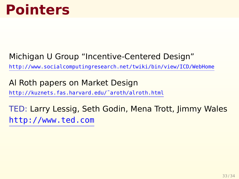#### Michigan U Group "Incentive-Centered Design"

<http://www.socialcomputingresearch.net/twiki/bin/view/ICD/WebHome>

Al Roth papers on Market Design

[http://kuznets.fas.harvard.edu/˜aroth/alroth.html](http://kuznets.fas.harvard.edu/~aroth/alroth.html)

TED: Larry Lessig, Seth Godin, Mena Trott, Jimmy Wales <http://www.ted.com>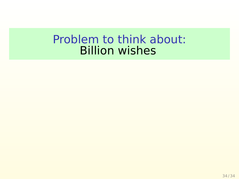#### Problem to think about: Billion wishes